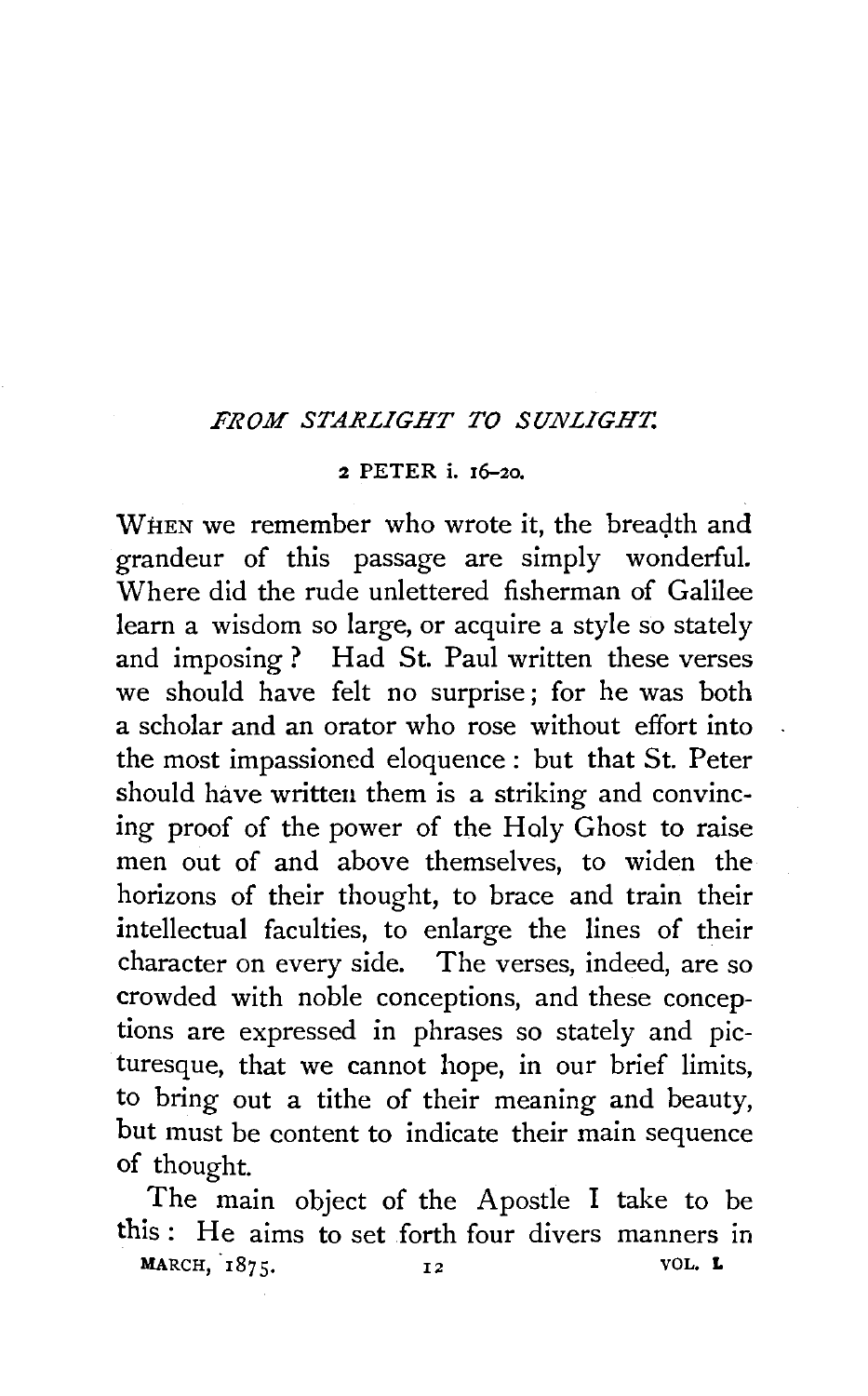## *FROM STARLIGHT TO SUNLIGHT.*

## 2 PETER i. 16-2o.

WHEN we remember who wrote it, the breadth and grandeur of this passage are simply wonderful. Where did the rude unlettered fisherman of Galilee learn a wisdom so large, or acquire a style so stately and imposing? Had St. Paul written these verses we should have felt no surprise ; for he was both a scholar and an orator who rose without effort into the most impassioned eloquence : but that St. Peter should have written them is a striking and convincing proof of the power of the Holy Ghost to raise men out of and above themselves, to widen the horizons of their thought, to brace and train their intellectual faculties, to enlarge the lines of their character on every side. The verses, indeed, are so crowded with noble conceptions, and these conceptions are expressed in phrases so stately and picturesque, that we cannot hope, in our brief limits, to bring out a tithe of their meaning and beauty, but must be content to indicate their main sequence of thought.

The main object of the Apostle I take to be this: He aims to set forth four divers manners in MARCH, 1875.  $12$  VOL. L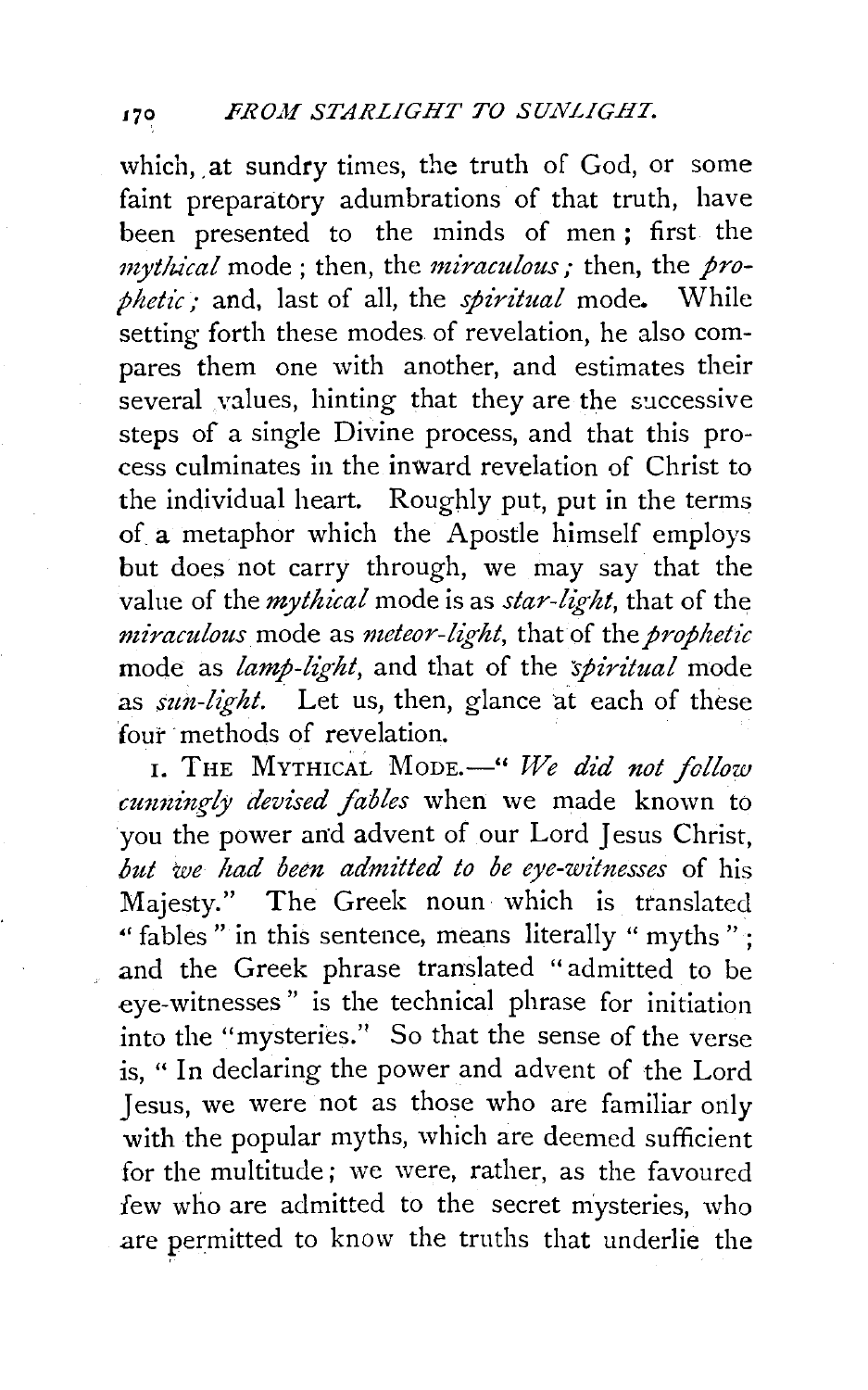which, at sundry times, the truth of God, or some faint preparatory adumbrations of that truth, have been presented to the minds of men ; first the *mytlz.ical* mode ; then, the *miraculous;* then, the *prophetic;* and, last of all, the *spiritual* mode. While setting forth these modes of revelation, he also compares them one with another, and estimates their several values, hinting that they are the successive steps of a single Divine process, and that this process culminates in the inward revelation of Christ to the individual heart. Roughly put, put in the terms of a metaphor which the Apostle himself employs but does not carry through, we may say that the value of the *mythical* mode is as *star-light*, that of the *miraculous* mode as *meteor-light,* that of the *prophetic*  mode as *lamp-light*, and that of the *spiritual* mode as *sun-light*. Let us, then, glance at each of these four methods of revelation.

1. THE MYTHICAL MODE.<sup>4</sup> We did not follow *cunningly devised fables* when we made known to you the power and advent of our Lord Jesus Christ, *but we had been admitted to be eye-witnesses* of his Majesty." The Greek noun which is translated " fables" in this sentence, means literally " myths": and the Greek phrase translated "admitted to be .eye-witnesses" is the technical phrase for initiation into the "mysteries.'' So that the sense of the verse is, " In declaring the power and advent of the Lord Jesus, we were not as those who are familiar only with the popular myths, which are deemed sufficient for the multitude; we were, rather, as the favoured few who are admitted to the secret mysteries, who are permitted to know the truths that underlie the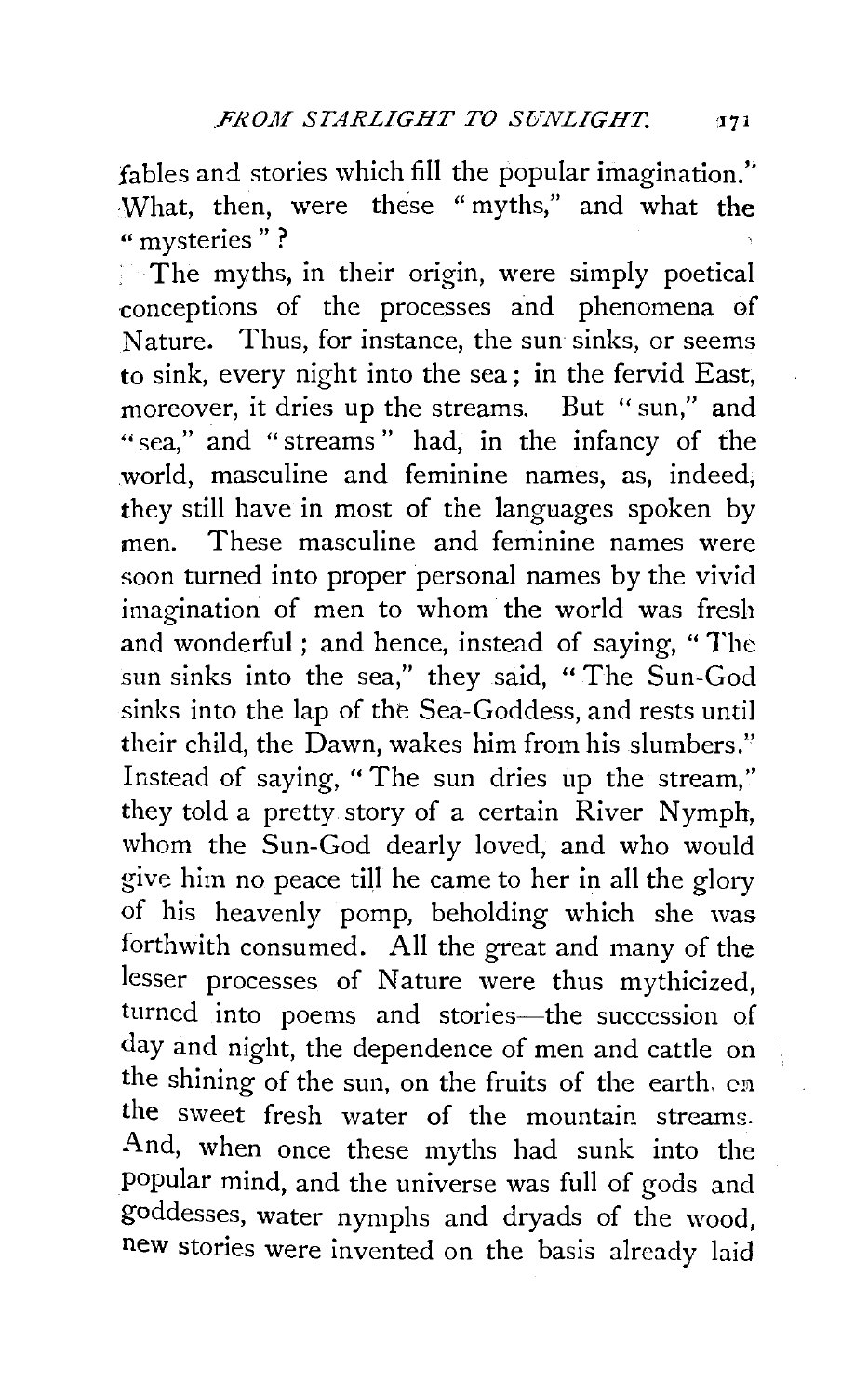fables and stories which fill the popular imagination." What, then, were these " myths," and what the " mysteries"?

The myths, in their origin, were simply poetical conceptions of the processes and phenomena of Nature. Thus, for instance, the sun sinks, or seems to sink, every night into the sea ; in the fervid East, moreover, it dries up the streams. But " sun," and "sea." and "streams" had, in the infancy of the world, masculine and feminine names, as, indeed, they still have in most of the languages spoken by men. These masculine and feminine names were soon turned into proper personal names by the vivid imagination of men to whom the world was fresh and wonderful; and hence, instead of saying, "The sun sinks into the sea," they said, " The Sun-God sinks into the lap of the Sea-Goddess, and rests until their child, the Dawn, wakes him from his slumbers.'' Instead of saying, "The sun dries up the stream," they told a pretty story of a certain River Nymph, whom the Sun-God dearly loved, and who would give him no peace till he came to her in all the glory of his heavenly pomp, beholding which she was forthwith consumed. All the great and many of the lesser processes of Nature were thus mythicized, turned into poems and stories-the succession of day and night, the dependence of men and cattle on the shining of the sun, on the fruits of the earth, cn the sweet fresh water of the mountain streams. And, when once these myths had sunk into the popular mind, and the universe was full of gods and goddesses, water nymphs and dryads of the wood, new stories were invented on the basis already laid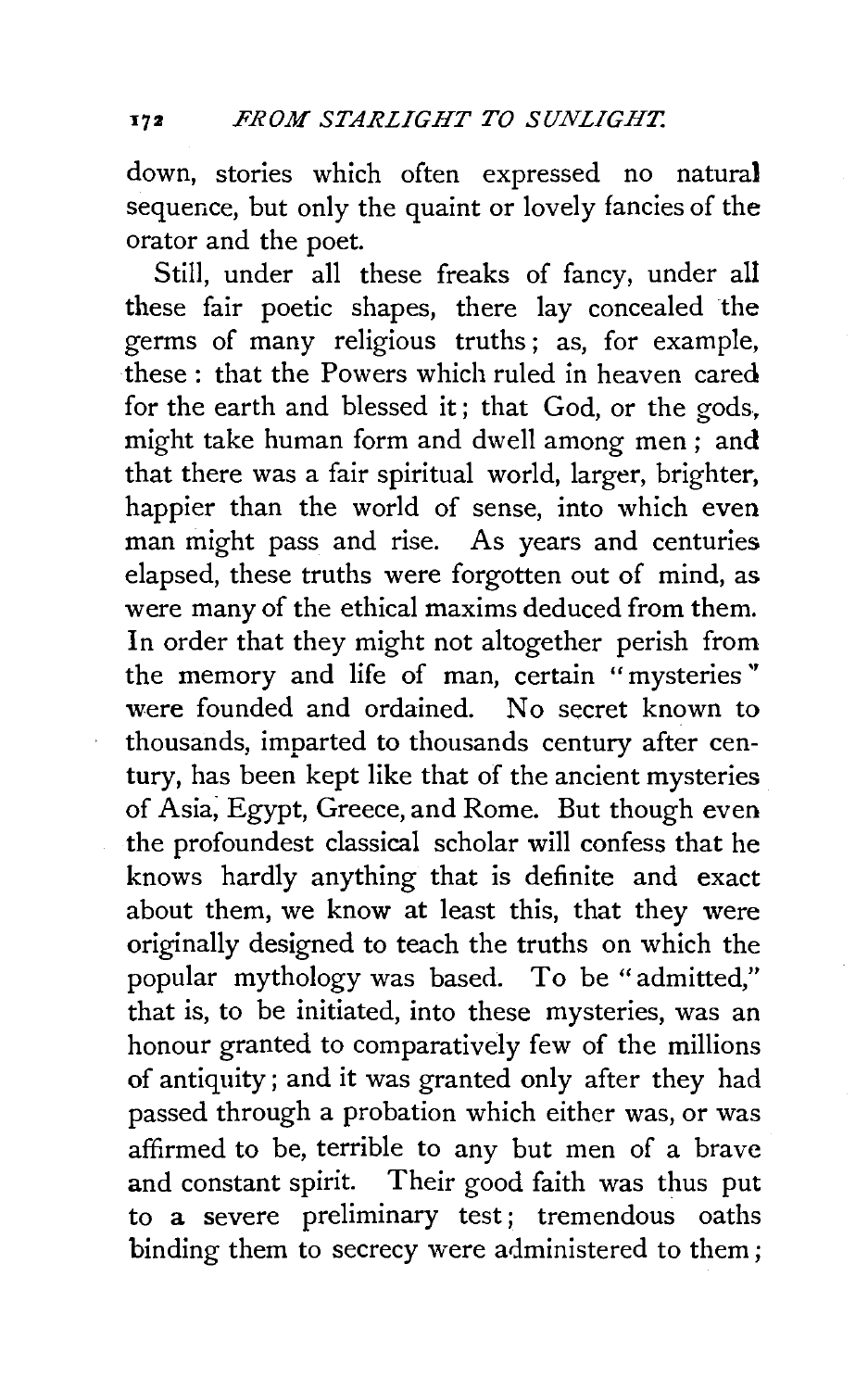down, stories which often expressed no natural sequence, but only the quaint or lovely fancies of the orator and the poet.

Still, under all these freaks of fancy, under all these fair poetic shapes, there lay concealed the germs of many religious truths; as, for example, these : that the Powers which ruled in heaven cared for the earth and blessed it ; that God, or the gods, might take human form and dwell among men ; and that there was a fair spiritual world, larger, brighter, happier than the world of sense, into which even man might pass and rise. As years and centuries elapsed, these truths were forgotten out of mind, as were many of the ethical maxims deduced from them. In order that they might not altogether perish from the memory and life of man, certain "mysteries '' were founded and ordained. No secret known to thousands, imparted to thousands century after century, has been kept like that of the ancient mysteries of Asia; Egypt, Greece, and Rome. But though even the profoundest classical scholar will confess that he knows hardly anything that is definite and exact about them, we know at least this, that they were originally designed to teach the truths on which the popular mythology was based. To be "admitted," that is, to be initiated, into these mysteries, was an honour granted to comparatively few of the millions of antiquity; and it was granted only after they had passed through a probation which either was, or was affirmed to be, terrible to any but men of a brave and constant spirit. Their good faith was thus put to a severe preliminary test; tremendous oaths binding them to secrecy were administered to them ;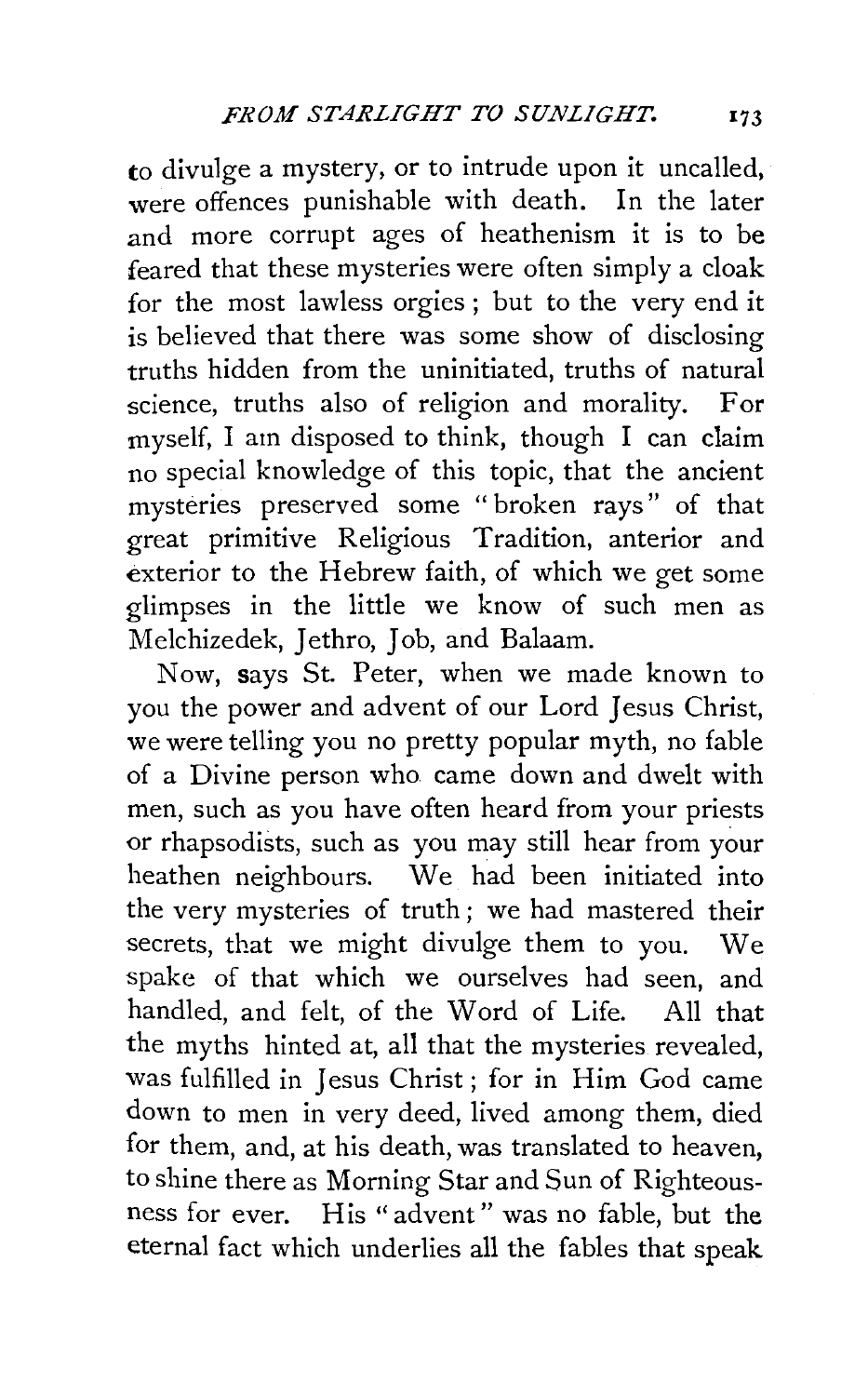to divulge a mystery, or to intrude upon it uncalled, were offences punishable with death. In the later and more corrupt ages of heathenism it is to be feared that these mysteries were often simply a cloak for the most lawless orgies ; but to the very end it is believed that there was some show of disclosing truths hidden from the uninitiated, truths of natural science, truths also of religion and morality. For myself, I am disposed to think, though I can claim no special knowledge of this topic, that the ancient mysteries preserved some "broken rays" of that great primitive Religious Tradition, anterior and exterior to the Hebrew faith, of which we get some glimpses in the little we know of such men as Melchizedek, Jethro, Job, and Balaam.

Now, says St. Peter, when we made known to you the power and advent of our Lord Jesus Christ, we were telling you no pretty popular myth, no fable of a Divine person who came down and dwelt with men, such as you have often heard from your priests or rhapsodists, such as you may still hear from your heathen neighbours. We had been initiated into the very mysteries of truth ; we had mastered their secrets, that we might divulge them to you. We spake of that which we ourselves had seen, and handled, and felt, of the Word of Life. All that the myths hinted at, all that the mysteries revealed, was fulfilled in Jesus Christ ; for in Him God came down to men in very deed, lived among them, died for them, and, at his death, was translated to heaven, to shine there as Morning Star and Sun of Righteousness for ever. His "advent" was no fable, but the eternal fact which underlies all the fables that speak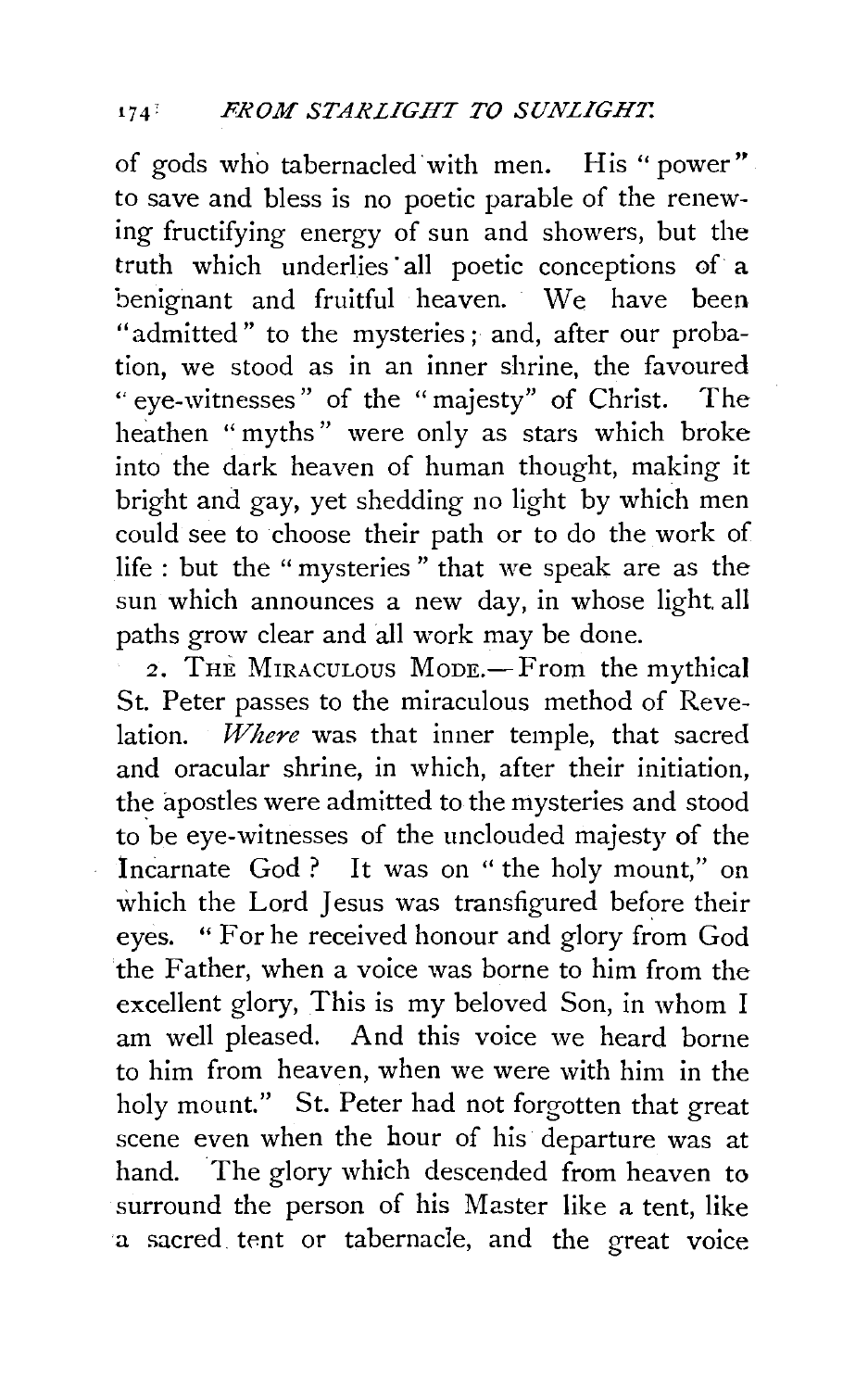of gods who tabernacled with men. His "power" to save and bless is no poetic parable of the renewing fructifying energy of sun and showers, but the truth which underlies· all poetic conceptions of a benignant and fruitful heaven. We have been "admitted" to the mysteries ; and, after our probation, we stood as in an inner shrine, the favoured ''eye-witnesses" of the "majesty" of Christ. The heathen "myths" were only as stars which broke into the dark heaven of human thought, making it bright and gay, yet shedding no light by which men could see to choose their path or to do the work of life : but the " mysteries " that we speak are as the sun which announces a new day, in whose light all paths grow clear and all work may be done.

2. THE MIRACULOUS MODE.-From the mythical St. Peter passes to the miraculous method of Revelation. *Where* was that inner temple, that sacred and oracular shrine, in which, after their initiation, the apostles were admitted to the mysteries and stood to be eye-witnesses of the unclouded majesty of the Incarnate God ? It was on "the holy mount," on which the Lord Jesus was transfigured before their eyes. " For he received honour and glory from God the Father, when a voice was borne to him from the excellent glory, This is my beloved Son, in whom I am well pleased. And this voice we heard borne to him from heaven, when we were with him in the holy mount." St. Peter had not forgotten that great scene even when the hour of his departure was at hand. The glory which descended from heaven to surround the person of his Master like a tent, like a sacred tent or tabernacle, and the great voice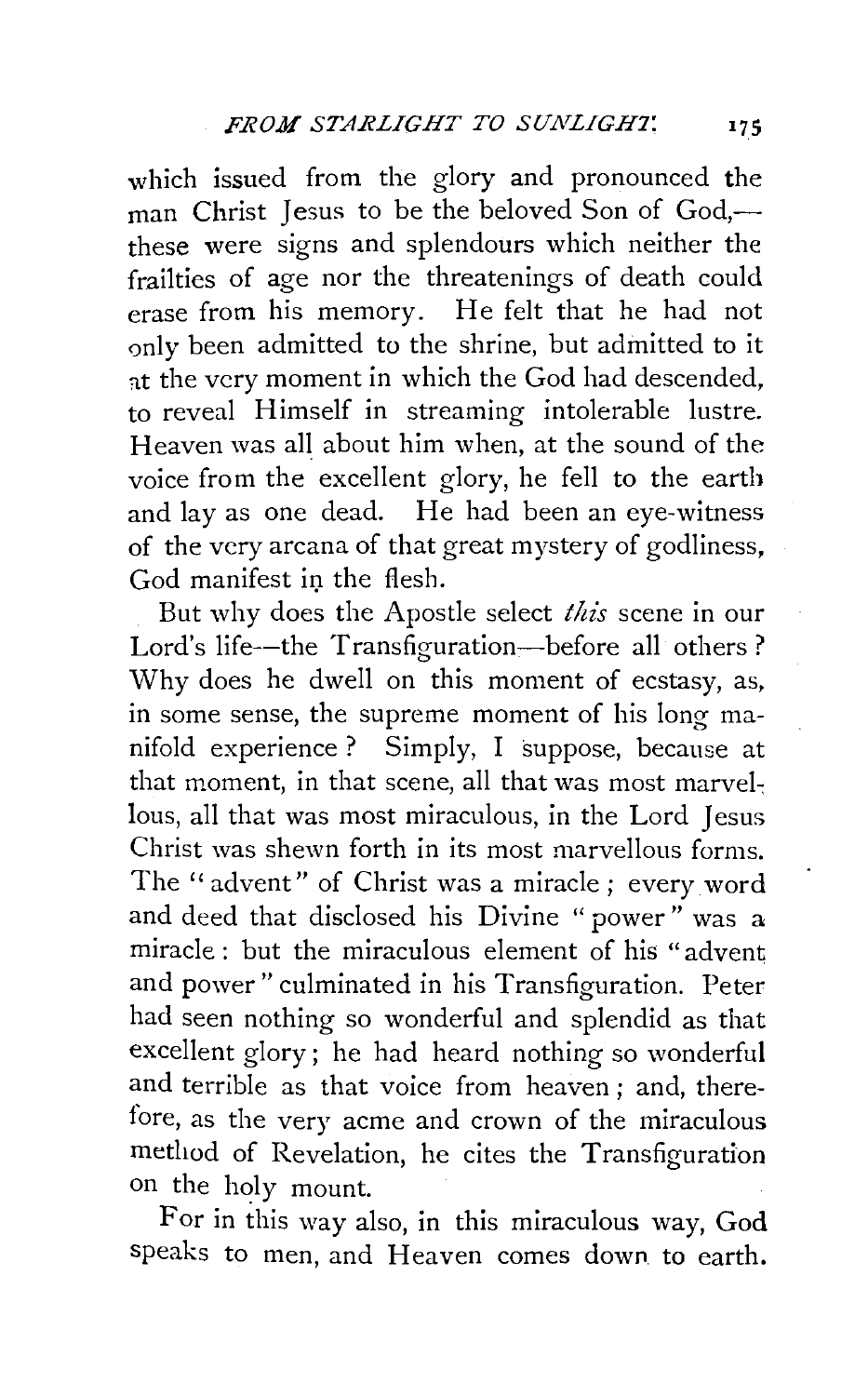which issued from the glory and pronounced the man Christ Jesus to be the beloved Son of God,these were signs and splendours which neither the frailties of age nor the threatenings of death could erase from his memory. He felt that he had not only been admitted to the shrine, but admitted to it at the very moment in which the God had descended, to reveal Himself in streaming intolerable lustre. Heaven was all about him when, at the sound of the voice from the excellent glory, he fell to the earth and lay as one dead. He had been an eye-witness of the very arcana of that great mystery of godliness, God manifest in the flesh.

But why does the Apostle select *this* scene in our Lord's life--the Transfiguration-before all others? Why does he dwell on this moment of ecstasy, as, in some sense, the supreme moment of his long manifold experience ? Simply, I suppose, because at that moment, in that scene, all that was most marvellous, all that was most miraculous, in the Lord Jesus Christ was shewn forth in its most marvellous forms. The "advent" of Christ was a miracle; every word and deed that disclosed his Divine " power" was a miracle : but the miraculous element of his "advent" and power" culminated in his Transfiguration. Peter had seen nothing so wonderful and splendid as that excellent glory; he had heard nothing so wonderful and terrible as that voice from heaven ; and, therefore, as the very acme and crown of the miraculous method of Revelation, he cites the Transfiguration on the holy mount.

For in this way also, in this miraculous way, God speaks to men, and Heaven comes down to earth.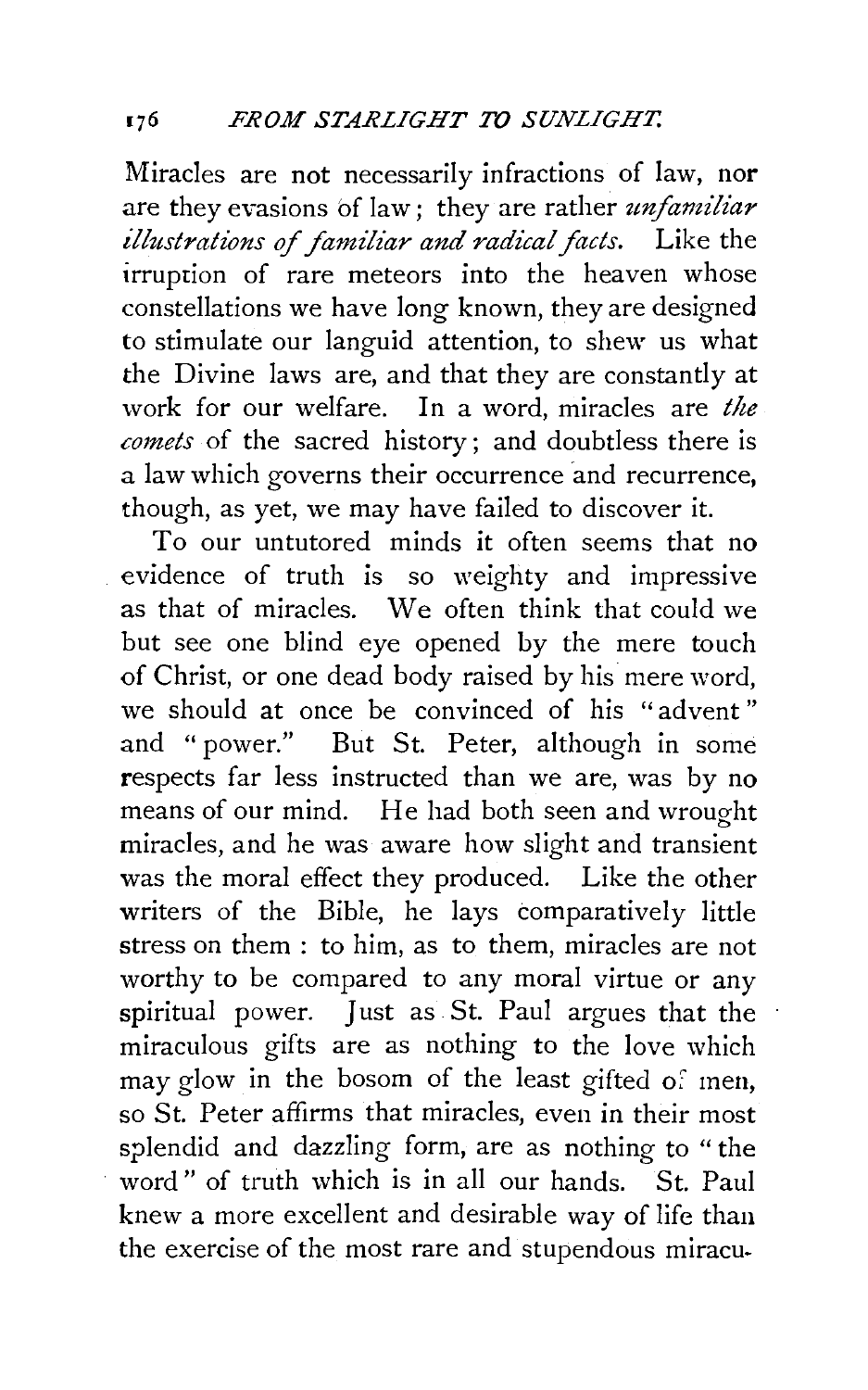Miracles are not necessarily infractions of law, nor are they evasions bf law; they are rather *unfamiliar illustrations of familiar and radical facts.* Like the irruption of rare meteors into the heaven whose constellations we have long known, they are designed to stimulate our languid attention, *to* shew us what the Divine laws are, and that they are constantly at work for our welfare. In a word, miracles are *the comets* of the sacred history; and doubtless there is a law which governs their occurrence and recurrence, though, as yet, we may have failed *to* discover it.

To our untutored minds it often seems that no evidence of truth is so weighty and impressive as that of miracles. We often think that could we but see one blind eye opened by the mere touch of Christ, or one dead body raised by his mere word, we should at once be convinced of his "advent " and " power." But St. Peter, although in some respects far less instructed than we are, was by no means of our mind. He had both seen and wrought miracles, and he was aware how slight and transient was the moral effect they produced. Like the other writers of the Bible, he lays comparatively little stress on them : to him, as *to* them, miracles are not worthy to be compared to any moral virtue or any spiritual power. Just as St. Paul argues that the miraculous gifts are as nothing to the love which may glow in the bosom of the least gifted of men. so St. Peter affirms that miracles, even in their most splendid and dazzling form, are as nothing to " the word" of truth which is in all our hands. St. Paul knew a more excellent and desirable way of life than the exercise of the most rare and stupendous miracu-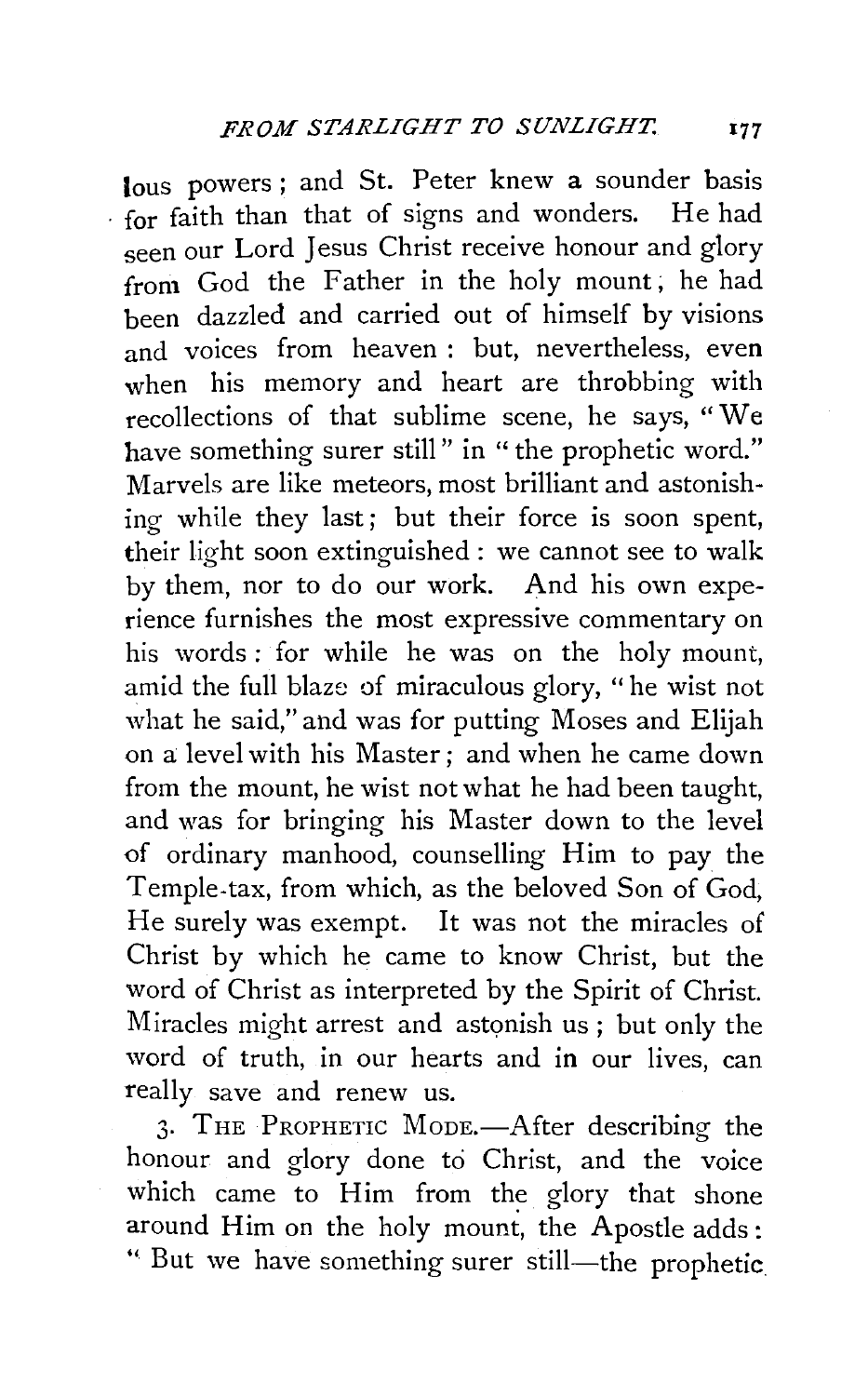lous powers; and St. Peter knew a sounder basis . for faith than that of signs and wonders. He had seen our Lord Jesus Christ receive honour and glory from God the Father in the holy mount; he had been dazzled and carried out of himself by visions and voices from heaven: but, nevertheless, even when his memory and heart are throbbing with recollections of that sublime scene, he says, "We have something surer still" in "the prophetic word." Marvels are like meteors, most brilliant and astonishing while they last; but their force is soon spent, their light soon extinguished : we cannot see to walk by them, nor to do our work. And his own experience furnishes the most expressive commentary on his words : for while he was on the holy mount, amid the full blaze of miraculous glory, " he wist not what he said," and was for putting Moses and Elijah on a level with his Master; and when he came down from the mount, he wist not what he had been taught, and was for bringing his Master down to the level of ordinary manhood, counselling Him to pay the Temple-tax, from which, as the beloved Son of God, He surely was exempt. It was not the miracles of Christ by which he came to know Christ, but the word of Christ as interpreted by the Spirit of Christ. Miracles might arrest and astonish us; but only the word of truth, in our hearts and in our lives, can really save and renew us.

3. THE PROPHETIC MODE.—After describing the honour and glory done to Christ, and the voice which came to Him from the glory that shone around Him on the holy mount, the Apostle adds: " But we have something surer still—the prophetic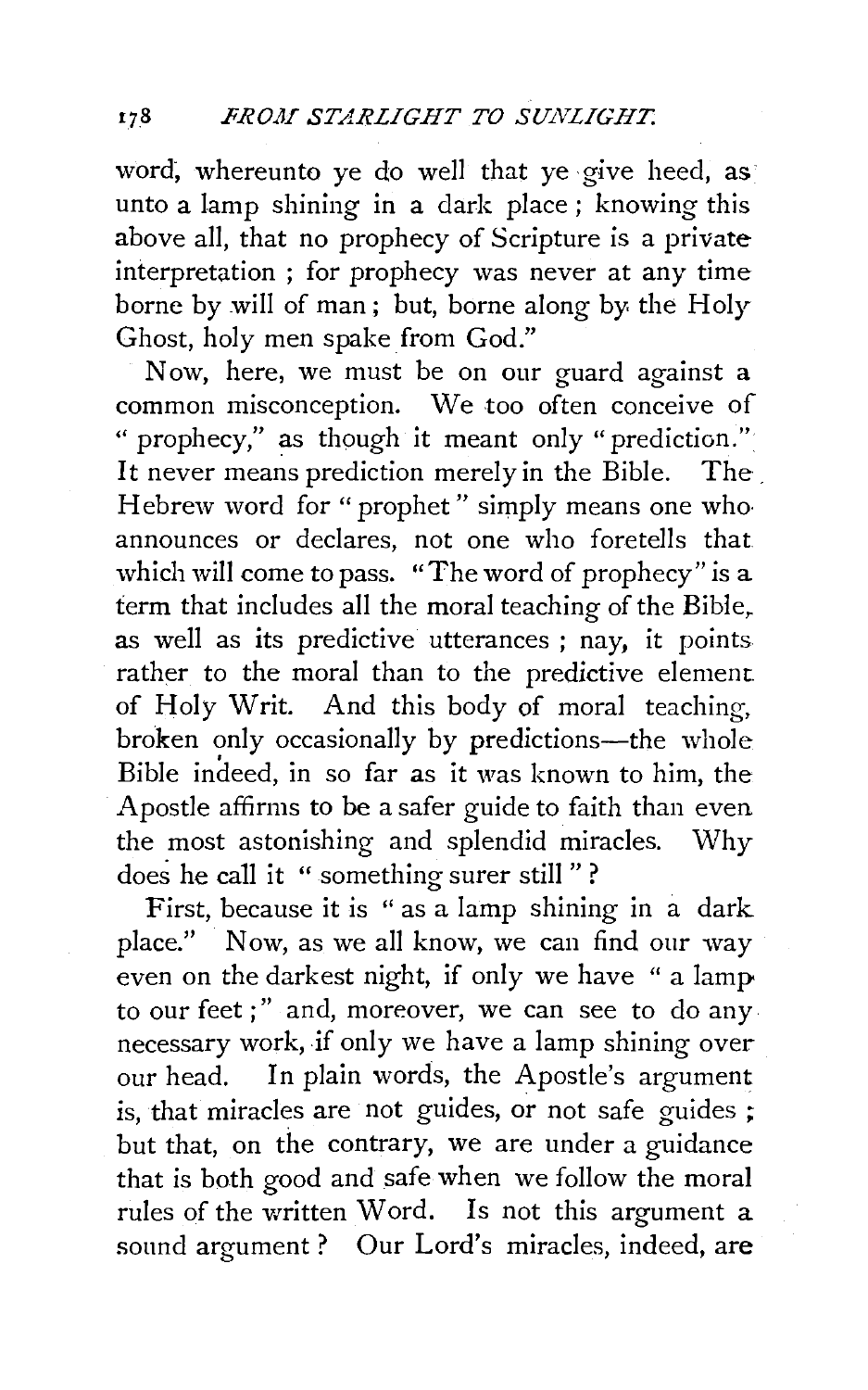word, whereunto ye do well that ye give heed, as unto a lamp shining in a dark place; knowing this above all, that no prophecy of Scripture is a private interpretation ; for prophecy was never at any time borne by will of man; but, borne along by. the Holy Ghost, holy men spake from God."

Now, here, we must be on our guard against a common misconception. We too often conceive of " prophecy," as though it meant only "prediction." It never means prediction merely in the Bible. The Hebrew word for "prophet" simply means one whoannounces or declares, not one who foretells that which will come to pass. "The word of prophecy" is a term that includes all the moral teaching of the Bible. as well as its predictive utterances ; nay, it points rather to the moral than to the predictive element of Holy Writ. And this body of moral teaching, broken only occasionally by predictions---the whole Bible indeed, in so far as it was known to him, the Apostle affirms to be a safer guide to faith than even the most astonishing and splendid miracles. Why does he call it " something surer still " ?

First, because it is " as a lamp shining in a dark place." Now, as we all know, we can find our way even on the darkest night, if only we have "a lamp to our feet;" and, moreover, we can see to do any necessary work, if only we have a lamp shining over our head. In plain words, the Apostle's argument is, that miracles are not guides, or not safe guides ; but that, on the contrary, we are under a guidance that is both good and safe when we follow the moral rules of the written Word. Is not this argument a sound argument ? Our Lord's miracles, indeed, are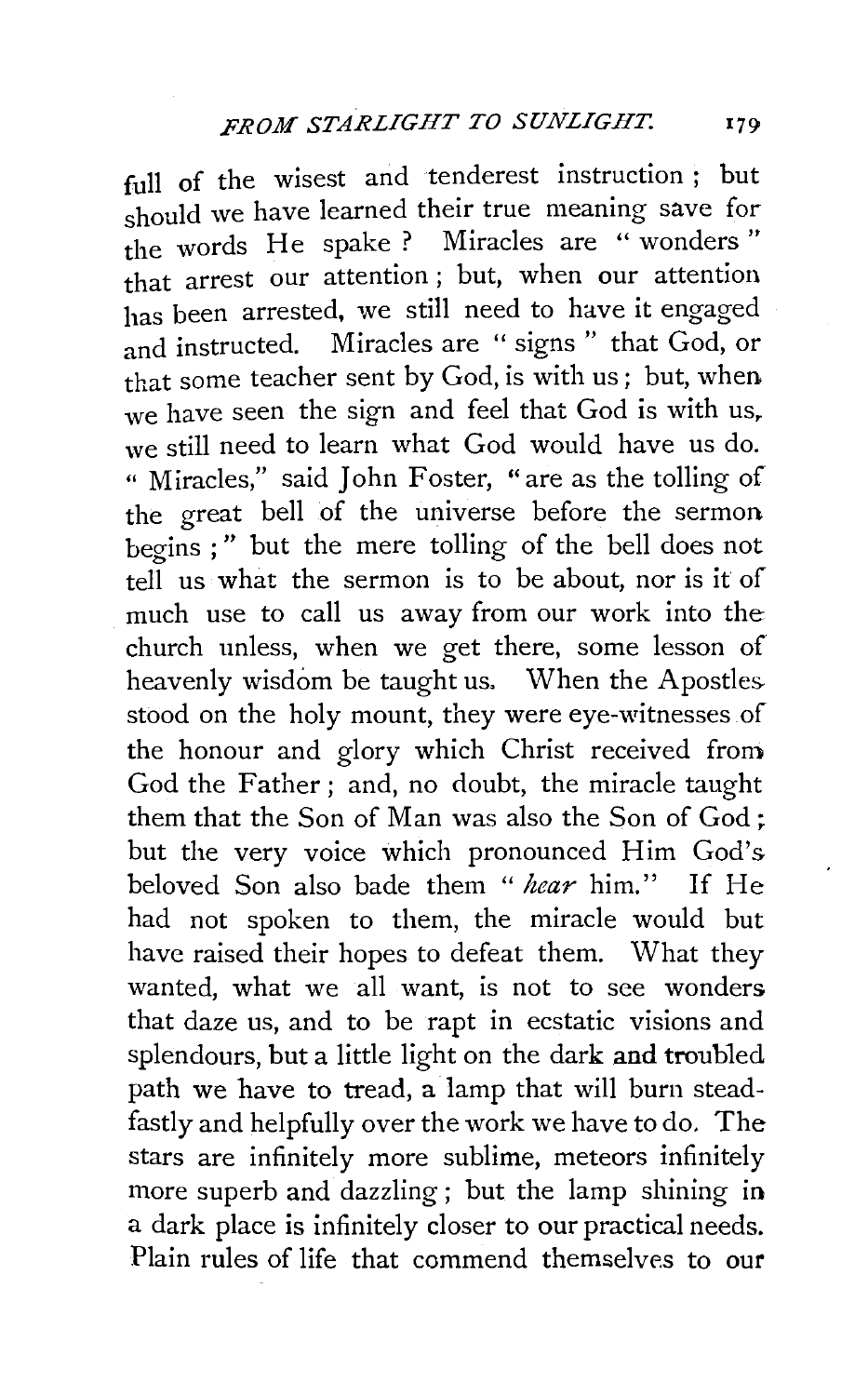full of the wisest and tenderest instruction ; but should we have learned their true meaning save for the words He spake ? Miracles are "wonders" that arrest our attention ; but, when our attention has been arrested, we still need to have it engaged and instructed. Miracles are " signs " that God, or that some teacher sent by God, is with us; but, when. we have seen the sign and feel that God is with us. we still need to learn what God would have us do. " Miracles," said John Foster, " are as the tolling of the great bell of the universe before the sermon begins ; " but the mere tolling of the bell does not tell us what the sermon is to be about, nor is it of much use to call us away from our work into the church unless, when we get there, some lesson of heavenly wisdom be taught us. When the Apostles stood on the holy mount, they were eye-witnesses of the honour and glory which Christ received from God the Father; and, no doubt, the miracle taught them that the Son of Man was also the Son of God ; but the very voice which pronounced Him God's beloved Son also bade them " *hear* him." If He had not spoken to them, the miracle would but have raised their hopes to defeat them. What they wanted, what we all want, is not to see wonders that daze us, and to be rapt in ecstatic visions and splendours, but a little light on the dark and troubled path we have to tread, a lamp that will burn steadfastly and helpfully over the work we have to do. The stars are infinitely more sublime, meteors infinitely more superb and dazzling ; but the lamp shining in a dark place is infinitely closer to our practical needs. Plain rules of life that commend themselves to our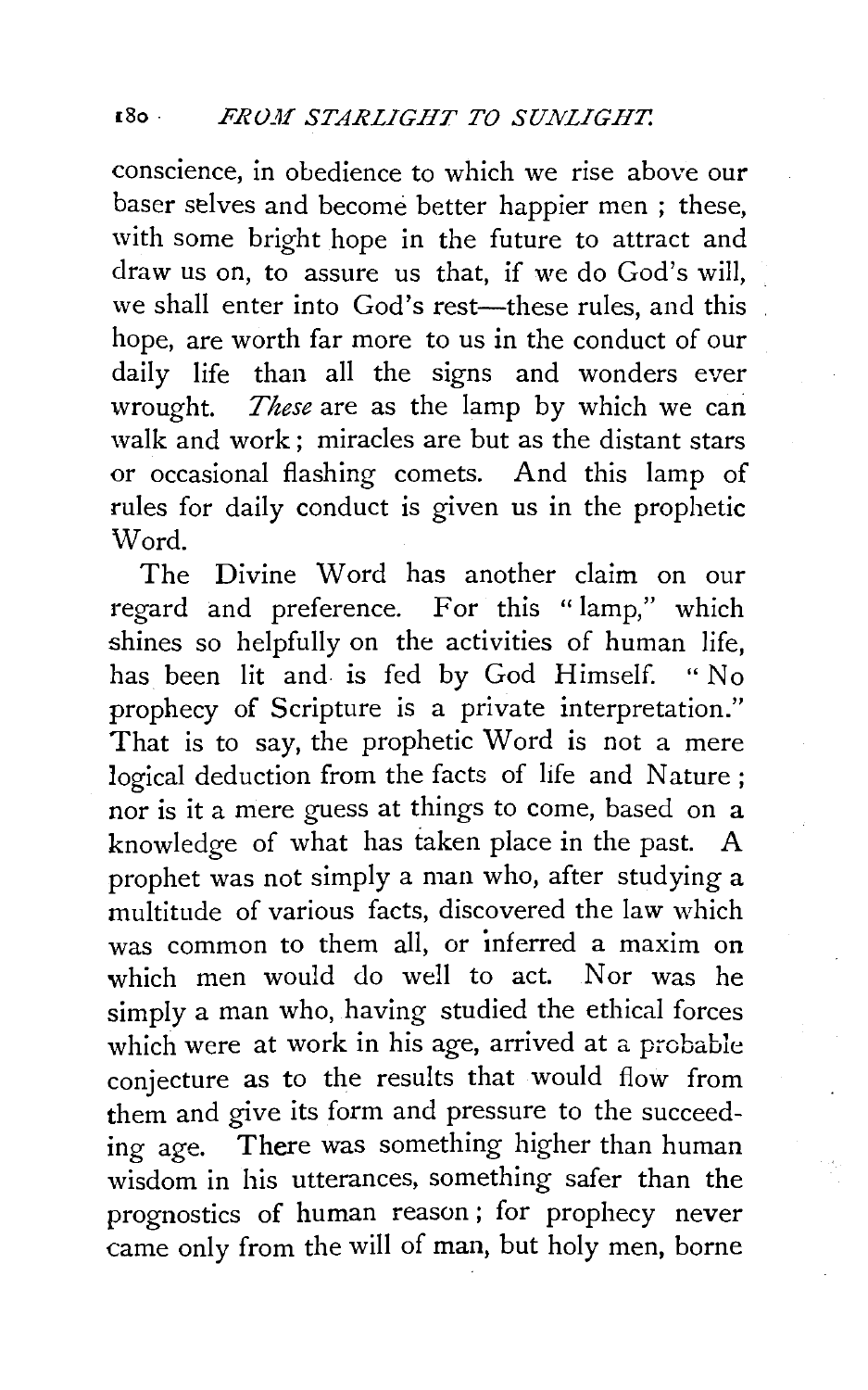conscience, in obedience to which we rise above our baser selves and become better happier men ; these, with some bright hope in the future to attract and draw us on, to assure us that, if we do God's will, we shall enter into God's rest-these rules, and this hope, are worth far more to us in the conduct of our daily life than all the signs and wonders ever wrought. *These* are as the lamp by which we can walk and work ; miracles are but as the distant stars or occasional flashing comets. And this lamp of rules for daily conduct is given us in the prophetic Word.

The Divine Word has another claim on our regard and preference. For this "lamp," which shines so helpfully on the activities of human life, has been lit and is fed by God Himself. "No prophecy of Scripture is a private interpretation." That is to say, the prophetic Word is not a mere logical deduction from the facts of life and Nature ; nor is it a mere guess at things to come, based on a knowledge of what has taken place in the past. A prophet was not simply a man who, after studying a multitude of various facts, discovered the law which was common to them all, or inferred a maxim on which men would do well to act. Nor was he simply a man who, having studied the ethical forces which were at work in his age, arrived at a probable conjecture as to the results that would flow from them and give its form and pressure to the succeeding age. There was something higher than human wisdom in his utterances, something safer than the prognostics of human reason ; for prophecy never came only from the will of man, but holy men, borne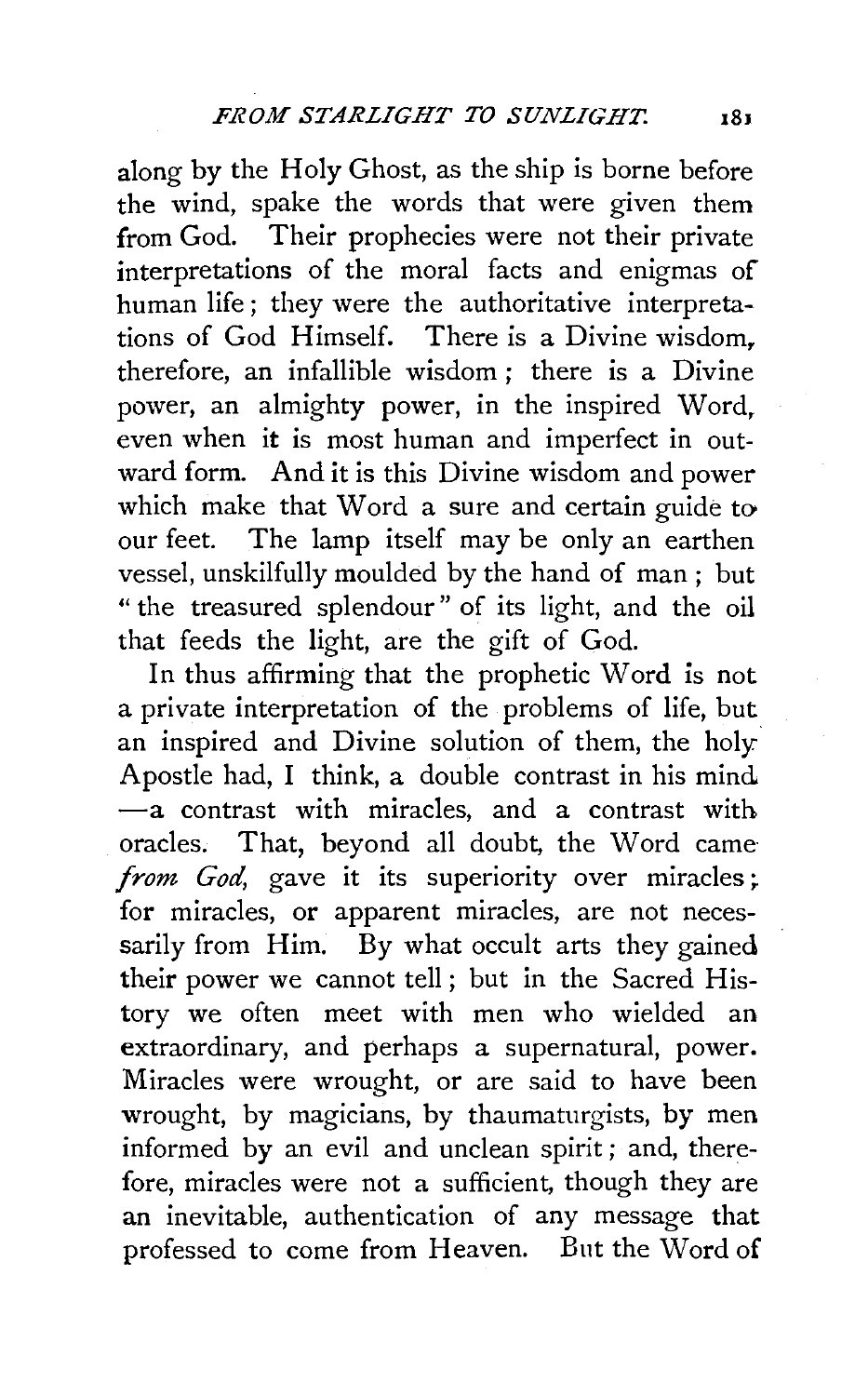along by the Holy Ghost, as the ship is borne before the wind, spake the words that were given them from God. Their prophecies were not their private interpretations of the moral facts and enigmas of human life; they were the authoritative interpretations of God Himself. There is a Divine wisdom, therefore, an infallible wisdom ; there is a Divine power, an almighty power, in the inspired Word, even when it is most human and imperfect in outward form. And it is this Divine wisdom and power which make that Word a sure and certain guide to our feet. The lamp itself may be only an earthen vessel, unskilfully moulded by the hand of man ; but " the treasured splendour" of its light, and the oil that feeds the light, are the gift of God.

In thus affirming that the prophetic Word is not a private interpretation of the problems of life, but an inspired and Divine solution of them, the holy Apostle had, I think, a double contrast in his mind -a contrast with miracles, and a contrast with oracles. That, beyond all doubt, the Word came from God, gave it its superiority over miracles; for miracles, or apparent miracles, are not necessarily from Him. By what occult arts they gained their power we cannot tell; but in the Sacred History we often meet with men who wielded an extraordinary, and perhaps a supernatural, power. Miracles were wrought, or are said to have been wrought, by magicians, by thaumaturgists, by men informed by an evil and unclean spirit; and, therefore, miracles were not a sufficient, though they are an inevitable, authentication of any message that professed to come from Heaven. But the Word of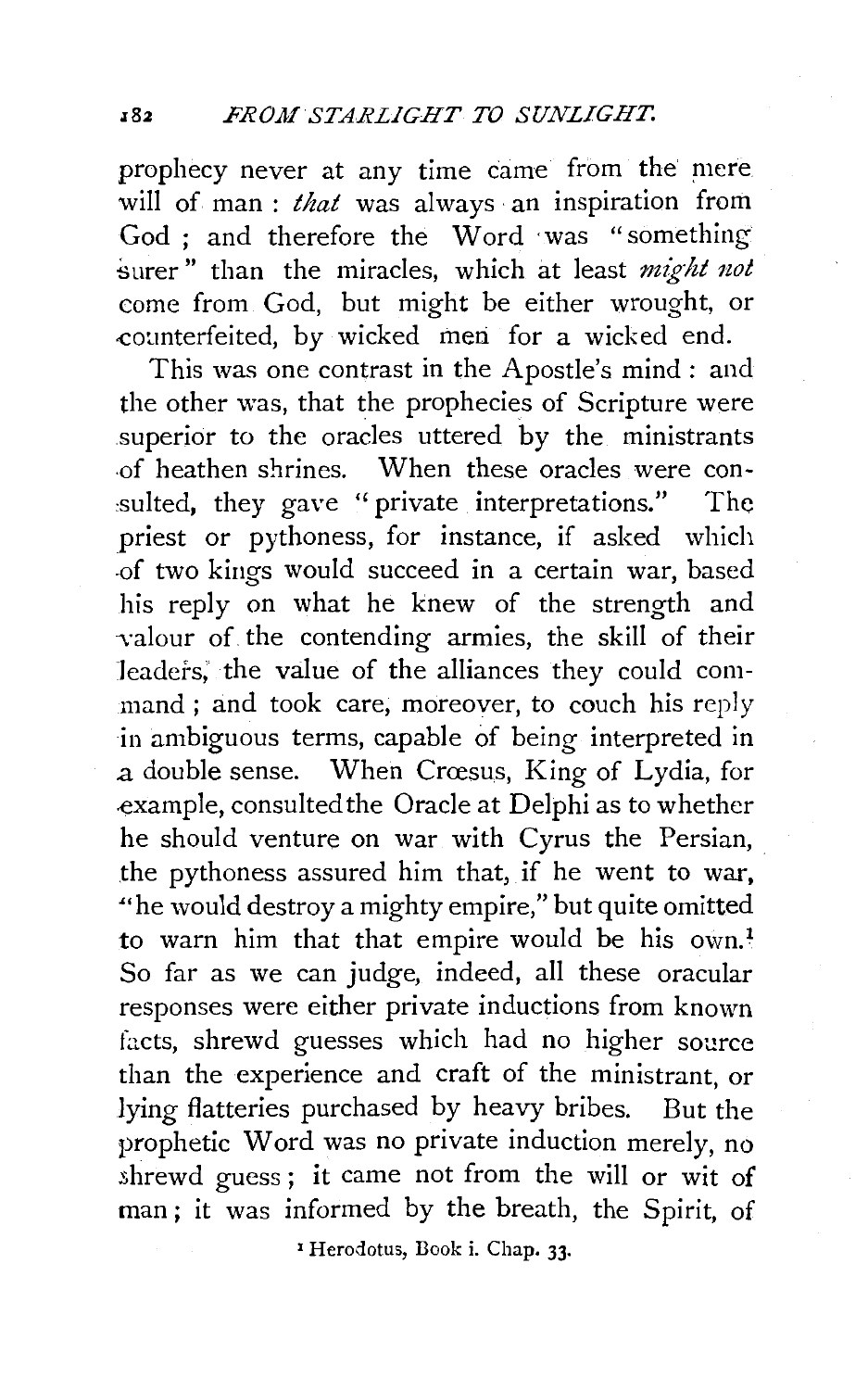prophecy never at any time came from the' mere will of man: *that* was always an inspiration from God : and therefore the Word was "something" surer" than the miracles, which at least *might not* come from God, but might be either wrought, or counterfeited, by wicked men for a wicked end.

This was one contrast in the Apostle's mind: and the other was, that the prophecies of Scripture were superior to the oracles uttered by the ministrants .of heathen shrines. When these oracles were con sulted, they gave "private interpretations." The priest or pythoness, for instance, if asked which .of two kings would succeed in a certain war, based his reply on what he knew of the strength and valour of the contending armies, the skill of their leaders, the value of the alliances they could command; and took care, moreover, to couch his reply in ambiguous terms, capable of being interpreted in a double sense. When Croesus, King of Lydia, for example, consulted the Oracle at Delphi as to whether he should venture on war with Cyrus the Persian, the pythoness assured him that, if he went to war, "he would destroy a mighty empire," but quite omitted to warn him that that empire would be his own.<sup>1</sup> So far as we can judge, indeed, all these oracular responses were either private inductions from known facts, shrewd guesses which had no higher source than the experience and craft of the ministrant, or lying flatteries purchased by heavy bribes. But the prophetic Word was no private induction merely, no shrewd guess ; it came not from the will or wit of man ; it was informed by the breath, the Spirit, of

<sup>1</sup> Herodotus, Book i. Chap. 33.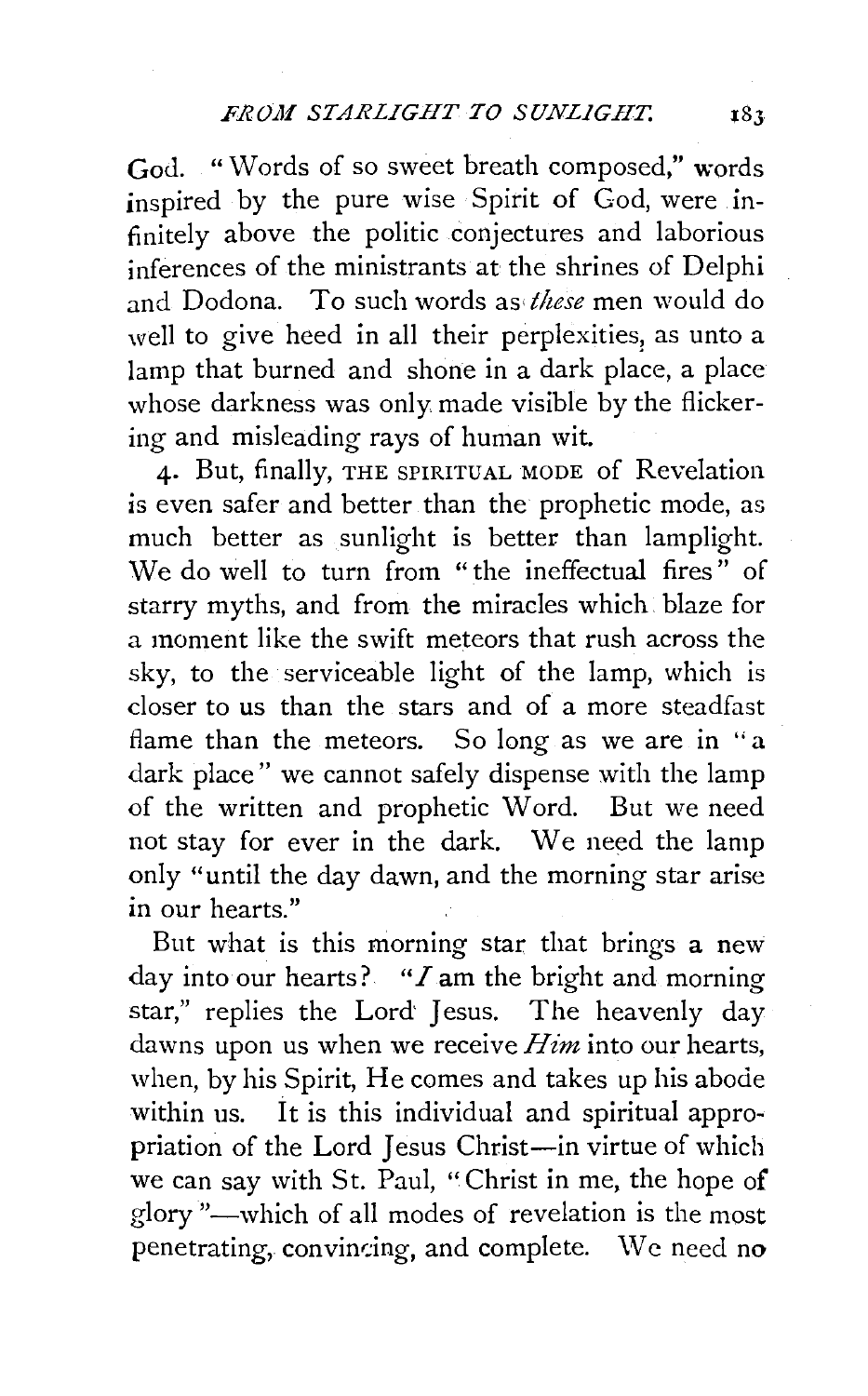God. "Words of so sweet breath composed," words inspired by the pure wise Spirit of God, were infinitely above the politic conjectures and laborious inferences of the ministrants at the shrines of Delphi and Dodona. To such words as *these* men would do well to give heed in all their perplexities, as unto a lamp that burned and shone in a dark place, a place whose darkness was only made visible by the flickering and misleading rays of human wit.

4· But, finally, THE SPIRITUAL MODE of Revelation is even safer and better than the prophetic mode, as much better as sunlight is better than lamplight. We do well to turn from "the ineffectual fires" of starry myths, and from the miracles which blaze for a moment like the swift meteors that rush across the sky, to the serviceable light of the lamp, which is closer to us than the stars and of a more steadfast flame than the meteors. So long as we are in "a dark place" we cannot safely dispense with the lamp of the written and prophetic Word. But we need not stay for ever in the dark. We need the lamp only "until the day dawn, and the morning star arise in our hearts."

But what is this morning star that brings a new day into our hearts? *"I* am the bright and morning star," replies the Lord' Jesus. The heavenly day dawns upon us when we receive *Him* into our hearts, when, by his Spirit, He comes and takes up his abode within us. It is this individual and spiritual appropriation of the Lord Jesus Christ-in virtue of which we can say with St. Paul, "Christ in me, the hope of glory "-which of all modes of revelation is the most penetrating, convincing, and complete. We need no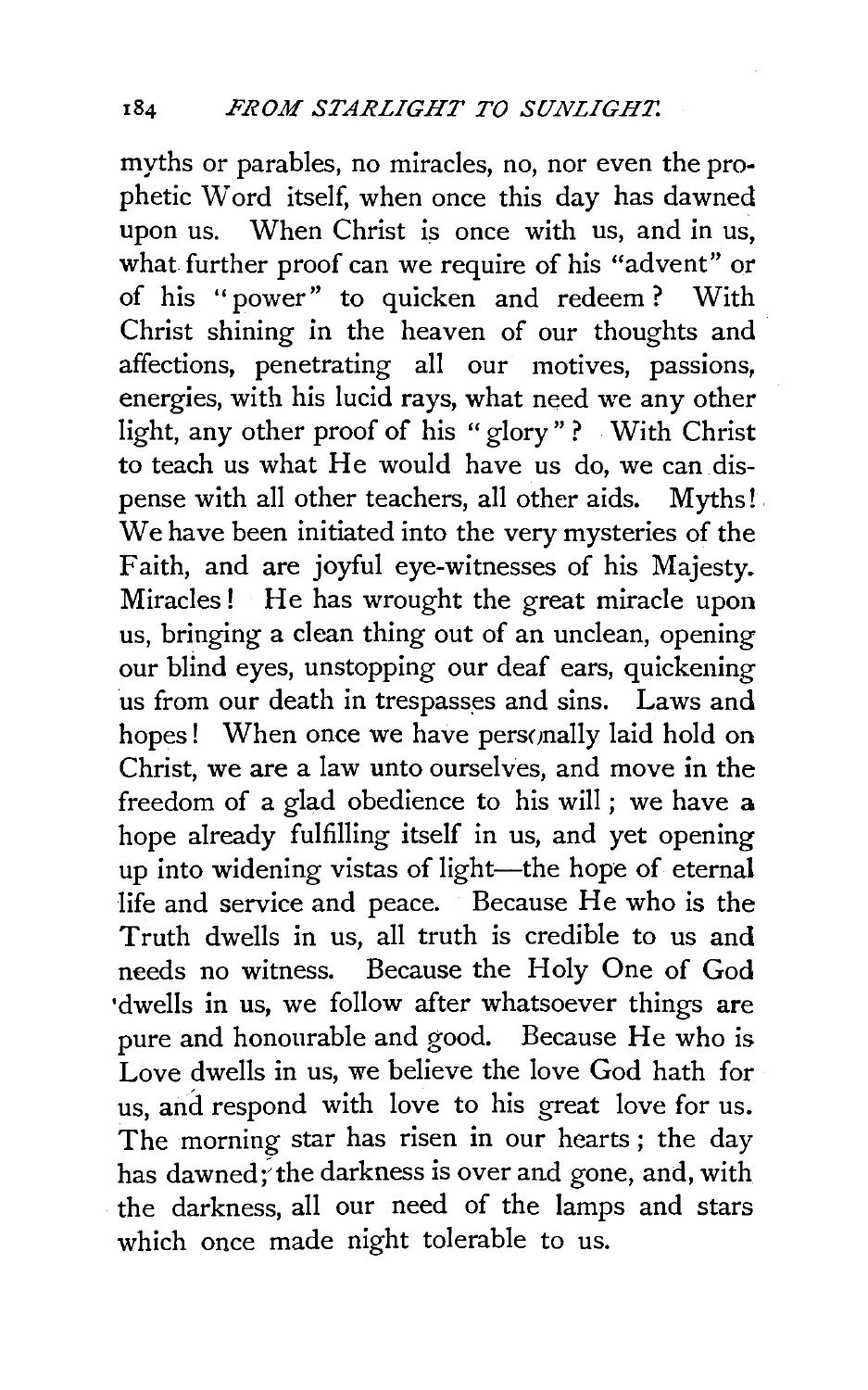myths or parables, no miracles, no, nor even the prophetic Word itself, when once this day has dawned upon us. When Christ is once with us, and in us, what further proof can we require of his "advent" or of his "power" to quicken and redeem ? With Christ shining in the heaven of our thoughts and affections, penetrating all our motives, passions, energies, with his lucid rays, what need we any other light, any other proof of his "glory" ? With Christ to teach us what He would have us do, we can dispense with all other teachers, all other aids. Myths! . We have been initiated into the very mysteries of the Faith, and are joyful eye-witnesses of his Majesty. Miracles! He has wrought the great miracle upon us, bringing a clean thing out of an unclean, opening our blind eyes, unstopping our deaf ears, quickening us from our death in trespasses and sins. Laws and hopes! When once we have personally laid hold on Christ, we are a law unto ourselves, and move in the freedom of a glad obedience to his will ; we have a hope already fulfilling itself in us, and yet opening up into widening vistas of light-the hope of eternal life and service and peace. Because He who is the Truth dwells in us, all truth is credible to us and needs no witness. Because the Holy One of God •dwells in us, we follow after whatsoever things are pure and honourable and good. Because He who is Love dwells in us, we believe the love God hath for us, and respond with love to his great love for us. The morning star has risen in our hearts; the day has dawned; the darkness is over and gone, and, with the darkness, all our need of the lamps and stars which once made night tolerable to us.